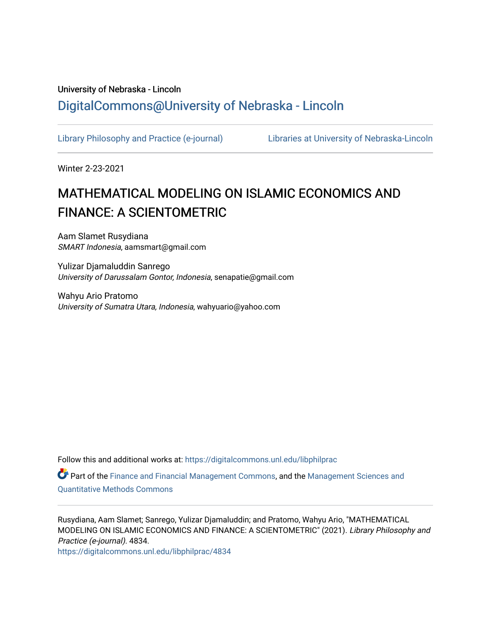## University of Nebraska - Lincoln [DigitalCommons@University of Nebraska - Lincoln](https://digitalcommons.unl.edu/)

[Library Philosophy and Practice \(e-journal\)](https://digitalcommons.unl.edu/libphilprac) [Libraries at University of Nebraska-Lincoln](https://digitalcommons.unl.edu/libraries) 

Winter 2-23-2021

# MATHEMATICAL MODELING ON ISLAMIC ECONOMICS AND FINANCE: A SCIENTOMETRIC

Aam Slamet Rusydiana SMART Indonesia, aamsmart@gmail.com

Yulizar Djamaluddin Sanrego University of Darussalam Gontor, Indonesia, senapatie@gmail.com

Wahyu Ario Pratomo University of Sumatra Utara, Indonesia, wahyuario@yahoo.com

Follow this and additional works at: [https://digitalcommons.unl.edu/libphilprac](https://digitalcommons.unl.edu/libphilprac?utm_source=digitalcommons.unl.edu%2Flibphilprac%2F4834&utm_medium=PDF&utm_campaign=PDFCoverPages) 

Part of the [Finance and Financial Management Commons,](http://network.bepress.com/hgg/discipline/631?utm_source=digitalcommons.unl.edu%2Flibphilprac%2F4834&utm_medium=PDF&utm_campaign=PDFCoverPages) and the [Management Sciences and](http://network.bepress.com/hgg/discipline/637?utm_source=digitalcommons.unl.edu%2Flibphilprac%2F4834&utm_medium=PDF&utm_campaign=PDFCoverPages) [Quantitative Methods Commons](http://network.bepress.com/hgg/discipline/637?utm_source=digitalcommons.unl.edu%2Flibphilprac%2F4834&utm_medium=PDF&utm_campaign=PDFCoverPages) 

Rusydiana, Aam Slamet; Sanrego, Yulizar Djamaluddin; and Pratomo, Wahyu Ario, "MATHEMATICAL MODELING ON ISLAMIC ECONOMICS AND FINANCE: A SCIENTOMETRIC" (2021). Library Philosophy and Practice (e-journal). 4834.

[https://digitalcommons.unl.edu/libphilprac/4834](https://digitalcommons.unl.edu/libphilprac/4834?utm_source=digitalcommons.unl.edu%2Flibphilprac%2F4834&utm_medium=PDF&utm_campaign=PDFCoverPages)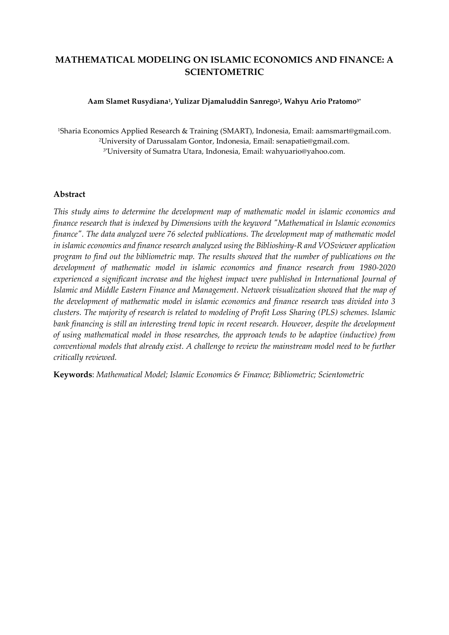## **MATHEMATICAL MODELING ON ISLAMIC ECONOMICS AND FINANCE: A SCIENTOMETRIC**

#### **Aam Slamet Rusydiana<sup>1</sup> , Yulizar Djamaluddin Sanrego<sup>2</sup> , Wahyu Ario Pratomo3\***

<sup>1</sup>Sharia Economics Applied Research & Training (SMART), Indonesia, Email[: aamsmart@gmail.com.](mailto:aamsmart@gmail.com) <sup>2</sup>University of Darussalam Gontor, Indonesia, Email: [senapatie@gmail.com.](mailto:senapatie@gmail.com) 3\*University of Sumatra Utara, Indonesia, Email: [wahyuario@yahoo.com](mailto:solihah.sr@gmail.com)*.*

#### **Abstract**

*This study aims to determine the development map of mathematic model in islamic economics and finance research that is indexed by Dimensions with the keyword "Mathematical in Islamic economics finance". The data analyzed were 76 selected publications. The development map of mathematic model in islamic economics and finance research analyzed using the Biblioshiny-R and VOSviewer application program to find out the bibliometric map. The results showed that the number of publications on the development of mathematic model in islamic economics and finance research from 1980-2020 experienced a significant increase and the highest impact were published in International Journal of Islamic and Middle Eastern Finance and Management. Network visualization showed that the map of the development of mathematic model in islamic economics and finance research was divided into 3 clusters. The majority of research is related to modeling of Profit Loss Sharing (PLS) schemes. Islamic bank financing is still an interesting trend topic in recent research. However, despite the development of using mathematical model in those researches, the approach tends to be adaptive (inductive) from conventional models that already exist. A challenge to review the mainstream model need to be further critically reviewed.* 

**Keywords**: *Mathematical Model; Islamic Economics & Finance; Bibliometric; Scientometric*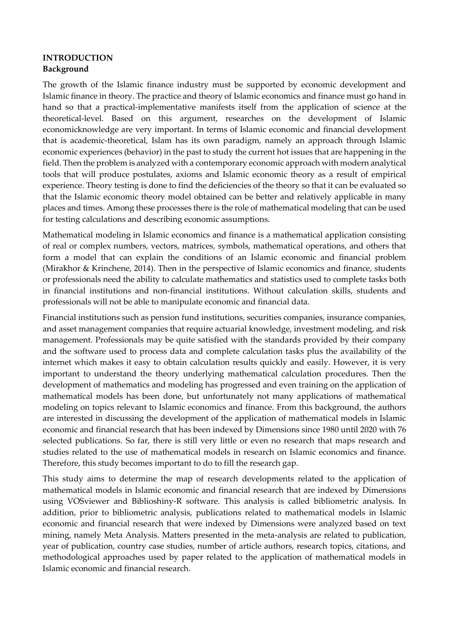#### **INTRODUCTION Background**

The growth of the Islamic finance industry must be supported by economic development and Islamic finance in theory. The practice and theory of Islamic economics and finance must go hand in hand so that a practical-implementative manifests itself from the application of science at the theoretical-level. Based on this argument, researches on the development of Islamic economicknowledge are very important. In terms of Islamic economic and financial development that is academic-theoretical, Islam has its own paradigm, namely an approach through Islamic economic experiences (behavior) in the past to study the current hot issues that are happening in the field. Then the problem is analyzed with a contemporary economic approach with modern analytical tools that will produce postulates, axioms and Islamic economic theory as a result of empirical experience. Theory testing is done to find the deficiencies of the theory so that it can be evaluated so that the Islamic economic theory model obtained can be better and relatively applicable in many places and times. Among these processes there is the role of mathematical modeling that can be used for testing calculations and describing economic assumptions.

Mathematical modeling in Islamic economics and finance is a mathematical application consisting of real or complex numbers, vectors, matrices, symbols, mathematical operations, and others that form a model that can explain the conditions of an Islamic economic and financial problem (Mirakhor & Krinchene, 2014). Then in the perspective of Islamic economics and finance, students or professionals need the ability to calculate mathematics and statistics used to complete tasks both in financial institutions and non-financial institutions. Without calculation skills, students and professionals will not be able to manipulate economic and financial data.

Financial institutions such as pension fund institutions, securities companies, insurance companies, and asset management companies that require actuarial knowledge, investment modeling, and risk management. Professionals may be quite satisfied with the standards provided by their company and the software used to process data and complete calculation tasks plus the availability of the internet which makes it easy to obtain calculation results quickly and easily. However, it is very important to understand the theory underlying mathematical calculation procedures. Then the development of mathematics and modeling has progressed and even training on the application of mathematical models has been done, but unfortunately not many applications of mathematical modeling on topics relevant to Islamic economics and finance. From this background, the authors are interested in discussing the development of the application of mathematical models in Islamic economic and financial research that has been indexed by Dimensions since 1980 until 2020 with 76 selected publications. So far, there is still very little or even no research that maps research and studies related to the use of mathematical models in research on Islamic economics and finance. Therefore, this study becomes important to do to fill the research gap.

This study aims to determine the map of research developments related to the application of mathematical models in Islamic economic and financial research that are indexed by Dimensions using VOSviewer and Biblioshiny-R software. This analysis is called bibliometric analysis. In addition, prior to bibliometric analysis, publications related to mathematical models in Islamic economic and financial research that were indexed by Dimensions were analyzed based on text mining, namely Meta Analysis. Matters presented in the meta-analysis are related to publication, year of publication, country case studies, number of article authors, research topics, citations, and methodological approaches used by paper related to the application of mathematical models in Islamic economic and financial research.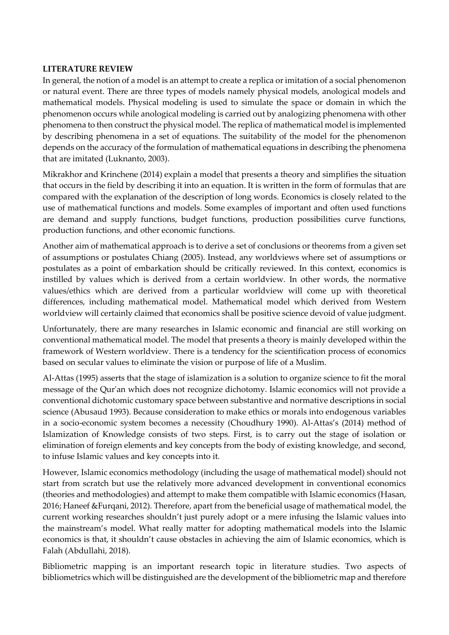#### **LITERATURE REVIEW**

In general, the notion of a model is an attempt to create a replica or imitation of a social phenomenon or natural event. There are three types of models namely physical models, anological models and mathematical models. Physical modeling is used to simulate the space or domain in which the phenomenon occurs while anological modeling is carried out by analogizing phenomena with other phenomena to then construct the physical model. The replica of mathematical model is implemented by describing phenomena in a set of equations. The suitability of the model for the phenomenon depends on the accuracy of the formulation of mathematical equations in describing the phenomena that are imitated (Luknanto, 2003).

Mikrakhor and Krinchene (2014) explain a model that presents a theory and simplifies the situation that occurs in the field by describing it into an equation. It is written in the form of formulas that are compared with the explanation of the description of long words. Economics is closely related to the use of mathematical functions and models. Some examples of important and often used functions are demand and supply functions, budget functions, production possibilities curve functions, production functions, and other economic functions.

Another aim of mathematical approach is to derive a set of conclusions or theorems from a given set of assumptions or postulates Chiang (2005). Instead, any worldviews where set of assumptions or postulates as a point of embarkation should be critically reviewed. In this context, economics is instilled by values which is derived from a certain worldview. In other words, the normative values/ethics which are derived from a particular worldview will come up with theoretical differences, including mathematical model. Mathematical model which derived from Western worldview will certainly claimed that economics shall be positive science devoid of value judgment.

Unfortunately, there are many researches in Islamic economic and financial are still working on conventional mathematical model. The model that presents a theory is mainly developed within the framework of Western worldview. There is a tendency for the scientification process of economics based on secular values to eliminate the vision or purpose of life of a Muslim.

Al-Attas (1995) asserts that the stage of islamization is a solution to organize science to fit the moral message of the Qur'an which does not recognize dichotomy. Islamic economics will not provide a conventional dichotomic customary space between substantive and normative descriptions in social science (Abusaud 1993). Because consideration to make ethics or morals into endogenous variables in a socio-economic system becomes a necessity (Choudhury 1990). Al-Attas's (2014) method of Islamization of Knowledge consists of two steps. First, is to carry out the stage of isolation or elimination of foreign elements and key concepts from the body of existing knowledge, and second, to infuse Islamic values and key concepts into it.

However, Islamic economics methodology (including the usage of mathematical model) should not start from scratch but use the relatively more advanced development in conventional economics (theories and methodologies) and attempt to make them compatible with Islamic economics (Hasan, 2016; Haneef &Furqani, 2012). Therefore, apart from the beneficial usage of mathematical model, the current working researches shouldn't just purely adopt or a mere infusing the Islamic values into the mainstream's model. What really matter for adopting mathematical models into the Islamic economics is that, it shouldn't cause obstacles in achieving the aim of Islamic economics, which is Falah (Abdullahi, 2018).

Bibliometric mapping is an important research topic in literature studies. Two aspects of bibliometrics which will be distinguished are the development of the bibliometric map and therefore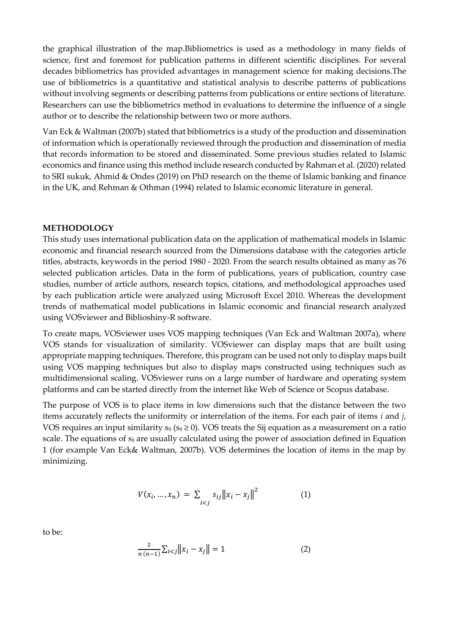the graphical illustration of the map.Bibliometrics is used as a methodology in many fields of science, first and foremost for publication patterns in different scientific disciplines. For several decades bibliometrics has provided advantages in management science for making decisions.The use of bibliometrics is a quantitative and statistical analysis to describe patterns of publications without involving segments or describing patterns from publications or entire sections of literature. Researchers can use the bibliometrics method in evaluations to determine the influence of a single author or to describe the relationship between two or more authors.

Van Eck & Waltman (2007b) stated that bibliometrics is a study of the production and dissemination of information which is operationally reviewed through the production and dissemination of media that records information to be stored and disseminated. Some previous studies related to Islamic economics and finance using this method include research conducted by Rahman et al. (2020) related to SRI sukuk, Ahmid & Ondes (2019) on PhD research on the theme of Islamic banking and finance in the UK, and Rehman & Othman (1994) related to Islamic economic literature in general.

#### **METHODOLOGY**

This study uses international publication data on the application of mathematical models in Islamic economic and financial research sourced from the Dimensions database with the categories article titles, abstracts, keywords in the period 1980 - 2020. From the search results obtained as many as 76 selected publication articles. Data in the form of publications, years of publication, country case studies, number of article authors, research topics, citations, and methodological approaches used by each publication article were analyzed using Microsoft Excel 2010. Whereas the development trends of mathematical model publications in Islamic economic and financial research analyzed using VOSviewer and Biblioshiny-R software.

To create maps, VOSviewer uses VOS mapping techniques (Van Eck and Waltman 2007a), where VOS stands for visualization of similarity. VOSviewer can display maps that are built using appropriate mapping techniques. Therefore, this program can be used not only to display maps built using VOS mapping techniques but also to display maps constructed using techniques such as multidimensional scaling. VOSviewer runs on a large number of hardware and operating system platforms and can be started directly from the internet like Web of Science or Scopus database.

The purpose of VOS is to place items in low dimensions such that the distance between the two items accurately reflects the uniformity or interrelation of the items. For each pair of items *i* and *j*, VOS requires an input similarity  $s_{ij}$  ( $s_{ij} \ge 0$ ). VOS treats the Sij equation as a measurement on a ratio scale. The equations of  $s_{ij}$  are usually calculated using the power of association defined in Equation 1 (for example Van Eck& Waltman, 2007b). VOS determines the location of items in the map by minimizing.

$$
V(x_i, ..., x_n) = \sum_{i < j} s_{ij} \|x_i - x_j\|^2 \tag{1}
$$

to be:

$$
\frac{2}{n(n-1)}\sum_{i < j} \left\|x_i - x_j\right\| = 1\tag{2}
$$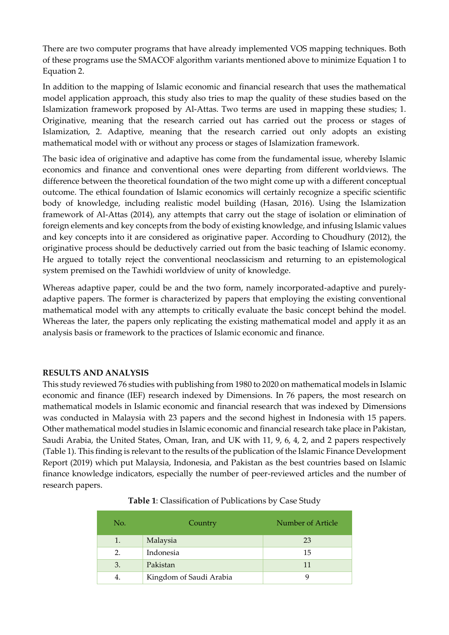There are two computer programs that have already implemented VOS mapping techniques. Both of these programs use the SMACOF algorithm variants mentioned above to minimize Equation 1 to Equation 2.

In addition to the mapping of Islamic economic and financial research that uses the mathematical model application approach, this study also tries to map the quality of these studies based on the Islamization framework proposed by Al-Attas. Two terms are used in mapping these studies; 1. Originative, meaning that the research carried out has carried out the process or stages of Islamization, 2. Adaptive, meaning that the research carried out only adopts an existing mathematical model with or without any process or stages of Islamization framework.

The basic idea of originative and adaptive has come from the fundamental issue, whereby Islamic economics and finance and conventional ones were departing from different worldviews. The difference between the theoretical foundation of the two might come up with a different conceptual outcome. The ethical foundation of Islamic economics will certainly recognize a specific scientific body of knowledge, including realistic model building (Hasan, 2016). Using the Islamization framework of Al-Attas (2014), any attempts that carry out the stage of isolation or elimination of foreign elements and key concepts from the body of existing knowledge, and infusing Islamic values and key concepts into it are considered as originative paper. According to Choudhury (2012), the originative process should be deductively carried out from the basic teaching of Islamic economy. He argued to totally reject the conventional neoclassicism and returning to an epistemological system premised on the Tawhidi worldview of unity of knowledge.

Whereas adaptive paper, could be and the two form, namely incorporated-adaptive and purelyadaptive papers. The former is characterized by papers that employing the existing conventional mathematical model with any attempts to critically evaluate the basic concept behind the model. Whereas the later, the papers only replicating the existing mathematical model and apply it as an analysis basis or framework to the practices of Islamic economic and finance.

#### **RESULTS AND ANALYSIS**

This study reviewed 76 studies with publishing from 1980 to 2020 on mathematical models in Islamic economic and finance (IEF) research indexed by Dimensions. In 76 papers, the most research on mathematical models in Islamic economic and financial research that was indexed by Dimensions was conducted in Malaysia with 23 papers and the second highest in Indonesia with 15 papers. Other mathematical model studies in Islamic economic and financial research take place in Pakistan, Saudi Arabia, the United States, Oman, Iran, and UK with 11, 9, 6, 4, 2, and 2 papers respectively (Table 1). This finding is relevant to the results of the publication of the Islamic Finance Development Report (2019) which put Malaysia, Indonesia, and Pakistan as the best countries based on Islamic finance knowledge indicators, especially the number of peer-reviewed articles and the number of research papers.

| No. | Country                 | Number of Article |
|-----|-------------------------|-------------------|
|     | Malaysia                | 23                |
| 2.  | Indonesia               | 15                |
| 3.  | Pakistan                | 11                |
| 4.  | Kingdom of Saudi Arabia |                   |

|  | Table 1: Classification of Publications by Case Study |  |
|--|-------------------------------------------------------|--|
|  |                                                       |  |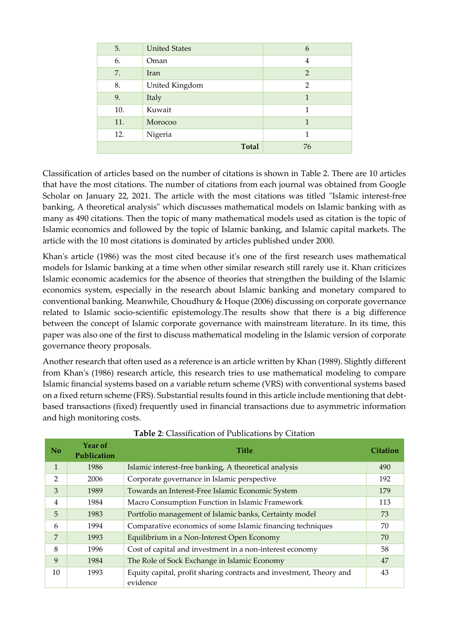| 5.  | <b>United States</b> | 6              |
|-----|----------------------|----------------|
| 6.  | Oman                 | 4              |
| 7.  | Iran                 | $\overline{2}$ |
| 8.  | United Kingdom       | $\mathfrak{D}$ |
| 9.  | Italy                | 1              |
| 10. | Kuwait               | 1              |
| 11. | Morocoo              | 1              |
| 12. | Nigeria              | 1              |
|     | <b>Total</b>         | 76             |

Classification of articles based on the number of citations is shown in Table 2. There are 10 articles that have the most citations. The number of citations from each journal was obtained from Google Scholar on January 22, 2021. The article with the most citations was titled "Islamic interest-free banking, A theoretical analysis" which discusses mathematical models on Islamic banking with as many as 490 citations. Then the topic of many mathematical models used as citation is the topic of Islamic economics and followed by the topic of Islamic banking, and Islamic capital markets. The article with the 10 most citations is dominated by articles published under 2000.

Khan's article (1986) was the most cited because it's one of the first research uses mathematical models for Islamic banking at a time when other similar research still rarely use it. Khan criticizes Islamic economic academics for the absence of theories that strengthen the building of the Islamic economics system, especially in the research about Islamic banking and monetary compared to conventional banking. Meanwhile, Choudhury & Hoque (2006) discussing on corporate governance related to Islamic socio-scientific epistemology.The results show that there is a big difference between the concept of Islamic corporate governance with mainstream literature. In its time, this paper was also one of the first to discuss mathematical modeling in the Islamic version of corporate governance theory proposals.

Another research that often used as a reference is an article written by Khan (1989). Slightly different from Khan's (1986) research article, this research tries to use mathematical modeling to compare Islamic financial systems based on a variable return scheme (VRS) with conventional systems based on a fixed return scheme (FRS). Substantial results found in this article include mentioning that debtbased transactions (fixed) frequently used in financial transactions due to asymmetric information and high monitoring costs.

| No             | Year of<br>Publication | <b>Title</b>                                                                    | <b>Citation</b> |
|----------------|------------------------|---------------------------------------------------------------------------------|-----------------|
| $\mathbf{1}$   | 1986                   | Islamic interest-free banking, A theoretical analysis                           | 490             |
| $\mathfrak{D}$ | 2006                   | Corporate governance in Islamic perspective                                     | 192             |
| 3              | 1989                   | Towards an Interest-Free Islamic Economic System                                |                 |
| 4              | 1984                   | Macro Consumption Function in Islamic Framework                                 | 113             |
| 5              | 1983                   | Portfolio management of Islamic banks, Certainty model                          | 73              |
| 6              | 1994                   | Comparative economics of some Islamic financing techniques                      | 70              |
| 7              | 1993                   | Equilibrium in a Non-Interest Open Economy                                      | 70              |
| 8              | 1996                   | Cost of capital and investment in a non-interest economy                        | 58              |
| 9              | 1984                   | The Role of Sock Exchange in Islamic Economy                                    | 47              |
| 10             | 1993                   | Equity capital, profit sharing contracts and investment, Theory and<br>evidence | 43              |

#### **Table 2**: Classification of Publications by Citation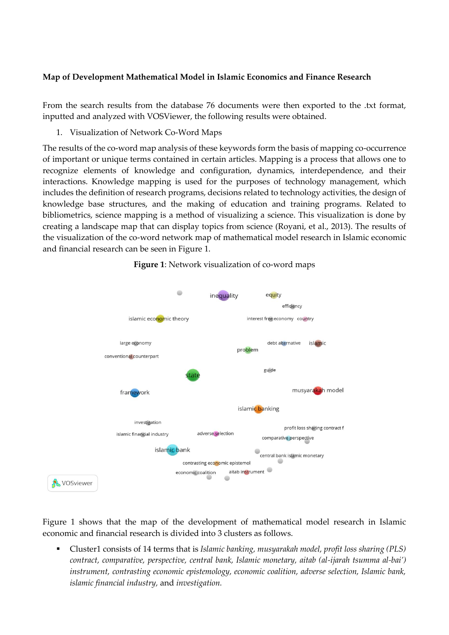#### **Map of Development Mathematical Model in Islamic Economics and Finance Research**

From the search results from the database 76 documents were then exported to the .txt format, inputted and analyzed with VOSViewer, the following results were obtained.

1. Visualization of Network Co-Word Maps

The results of the co-word map analysis of these keywords form the basis of mapping co-occurrence of important or unique terms contained in certain articles. Mapping is a process that allows one to recognize elements of knowledge and configuration, dynamics, interdependence, and their interactions. Knowledge mapping is used for the purposes of technology management, which includes the definition of research programs, decisions related to technology activities, the design of knowledge base structures, and the making of education and training programs. Related to bibliometrics, science mapping is a method of visualizing a science. This visualization is done by creating a landscape map that can display topics from science (Royani, et al., 2013). The results of the visualization of the co-word network map of mathematical model research in Islamic economic and financial research can be seen in Figure 1.



**Figure 1**: Network visualization of co-word maps

Figure 1 shows that the map of the development of mathematical model research in Islamic economic and financial research is divided into 3 clusters as follows.

Cluster1 consists of 14 terms that is *Islamic banking, musyarakah model, profit loss sharing (PLS) contract, comparative, perspective, central bank, Islamic monetary, aitab (al-ijarah tsumma al-bai') instrument, contrasting economic epistemology, economic coalition, adverse selection, Islamic bank, islamic financial industry,* and *investigation.*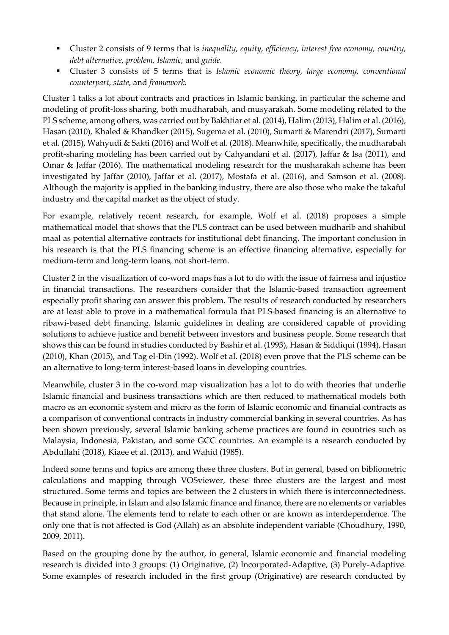- Cluster 2 consists of 9 terms that is *inequality, equity, efficiency, interest free economy, country, debt alternative, problem, Islamic,* and *guide.*
- Cluster 3 consists of 5 terms that is *Islamic economic theory, large economy, conventional counterpart, state,* and *framework.*

Cluster 1 talks a lot about contracts and practices in Islamic banking, in particular the scheme and modeling of profit-loss sharing, both mudharabah, and musyarakah. Some modeling related to the PLS scheme, among others, was carried out by Bakhtiar et al. (2014), Halim (2013), Halim et al. (2016), Hasan (2010), Khaled & Khandker (2015), Sugema et al. (2010), Sumarti & Marendri (2017), Sumarti et al. (2015), Wahyudi & Sakti (2016) and Wolf et al. (2018). Meanwhile, specifically, the mudharabah profit-sharing modeling has been carried out by Cahyandani et al. (2017), Jaffar & Isa (2011), and Omar & Jaffar (2016). The mathematical modeling research for the musharakah scheme has been investigated by Jaffar (2010), Jaffar et al. (2017), Mostafa et al. (2016), and Samson et al. (2008). Although the majority is applied in the banking industry, there are also those who make the takaful industry and the capital market as the object of study.

For example, relatively recent research, for example, Wolf et al. (2018) proposes a simple mathematical model that shows that the PLS contract can be used between mudharib and shahibul maal as potential alternative contracts for institutional debt financing. The important conclusion in his research is that the PLS financing scheme is an effective financing alternative, especially for medium-term and long-term loans, not short-term.

Cluster 2 in the visualization of co-word maps has a lot to do with the issue of fairness and injustice in financial transactions. The researchers consider that the Islamic-based transaction agreement especially profit sharing can answer this problem. The results of research conducted by researchers are at least able to prove in a mathematical formula that PLS-based financing is an alternative to ribawi-based debt financing. Islamic guidelines in dealing are considered capable of providing solutions to achieve justice and benefit between investors and business people. Some research that shows this can be found in studies conducted by Bashir et al. (1993), Hasan & Siddiqui (1994), Hasan (2010), Khan (2015), and Tag el-Din (1992). Wolf et al. (2018) even prove that the PLS scheme can be an alternative to long-term interest-based loans in developing countries.

Meanwhile, cluster 3 in the co-word map visualization has a lot to do with theories that underlie Islamic financial and business transactions which are then reduced to mathematical models both macro as an economic system and micro as the form of Islamic economic and financial contracts as a comparison of conventional contracts in industry commercial banking in several countries. As has been shown previously, several Islamic banking scheme practices are found in countries such as Malaysia, Indonesia, Pakistan, and some GCC countries. An example is a research conducted by Abdullahi (2018), Kiaee et al. (2013), and Wahid (1985).

Indeed some terms and topics are among these three clusters. But in general, based on bibliometric calculations and mapping through VOSviewer, these three clusters are the largest and most structured. Some terms and topics are between the 2 clusters in which there is interconnectedness. Because in principle, in Islam and also Islamic finance and finance, there are no elements or variables that stand alone. The elements tend to relate to each other or are known as interdependence. The only one that is not affected is God (Allah) as an absolute independent variable (Choudhury, 1990, 2009, 2011).

Based on the grouping done by the author, in general, Islamic economic and financial modeling research is divided into 3 groups: (1) Originative, (2) Incorporated-Adaptive, (3) Purely-Adaptive. Some examples of research included in the first group (Originative) are research conducted by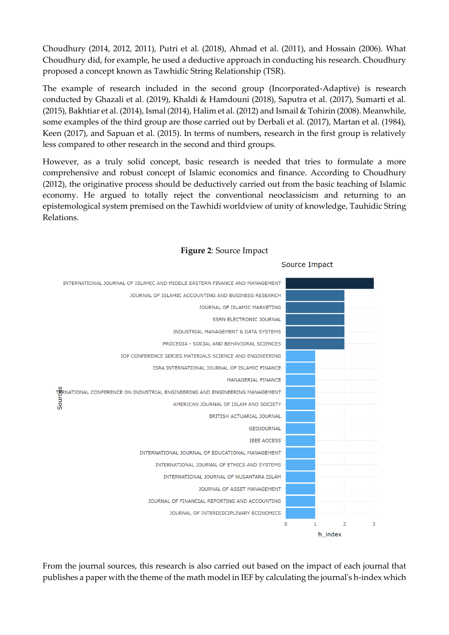Choudhury (2014, 2012, 2011), Putri et al. (2018), Ahmad et al. (2011), and Hossain (2006). What Choudhury did, for example, he used a deductive approach in conducting his research. Choudhury proposed a concept known as Tawhidic String Relationship (TSR).

The example of research included in the second group (Incorporated-Adaptive) is research conducted by Ghazali et al. (2019), Khaldi & Hamdouni (2018), Saputra et al. (2017), Sumarti et al. (2015), Bakhtiar et al. (2014), Ismal (2014), Halim et al. (2012) and Ismail & Tohirin (2008). Meanwhile, some examples of the third group are those carried out by Derbali et al. (2017), Martan et al. (1984), Keen (2017), and Sapuan et al. (2015). In terms of numbers, research in the first group is relatively less compared to other research in the second and third groups.

However, as a truly solid concept, basic research is needed that tries to formulate a more comprehensive and robust concept of Islamic economics and finance. According to Choudhury (2012), the originative process should be deductively carried out from the basic teaching of Islamic economy. He argued to totally reject the conventional neoclassicism and returning to an epistemological system premised on the Tawhidi worldview of unity of knowledge, Tauhidic String Relations.



#### **Figure 2**: Source Impact

Source Impact

From the journal sources, this research is also carried out based on the impact of each journal that publishes a paper with the theme of the math model in IEF by calculating the journal's h-index which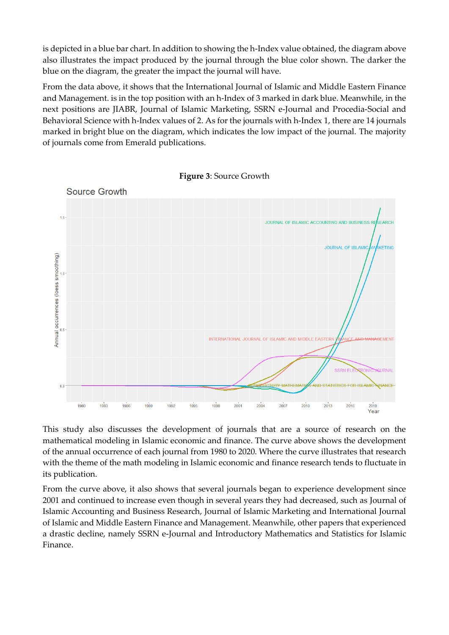is depicted in a blue bar chart. In addition to showing the h-Index value obtained, the diagram above also illustrates the impact produced by the journal through the blue color shown. The darker the blue on the diagram, the greater the impact the journal will have.

From the data above, it shows that the International Journal of Islamic and Middle Eastern Finance and Management. is in the top position with an h-Index of 3 marked in dark blue. Meanwhile, in the next positions are JIABR, Journal of Islamic Marketing, SSRN e-Journal and Procedia-Social and Behavioral Science with h-Index values of 2. As for the journals with h-Index 1, there are 14 journals marked in bright blue on the diagram, which indicates the low impact of the journal. The majority of journals come from Emerald publications.



**Figure 3**: Source Growth

This study also discusses the development of journals that are a source of research on the mathematical modeling in Islamic economic and finance. The curve above shows the development of the annual occurrence of each journal from 1980 to 2020. Where the curve illustrates that research with the theme of the math modeling in Islamic economic and finance research tends to fluctuate in its publication.

From the curve above, it also shows that several journals began to experience development since 2001 and continued to increase even though in several years they had decreased, such as Journal of Islamic Accounting and Business Research, Journal of Islamic Marketing and International Journal of Islamic and Middle Eastern Finance and Management. Meanwhile, other papers that experienced a drastic decline, namely SSRN e-Journal and Introductory Mathematics and Statistics for Islamic Finance.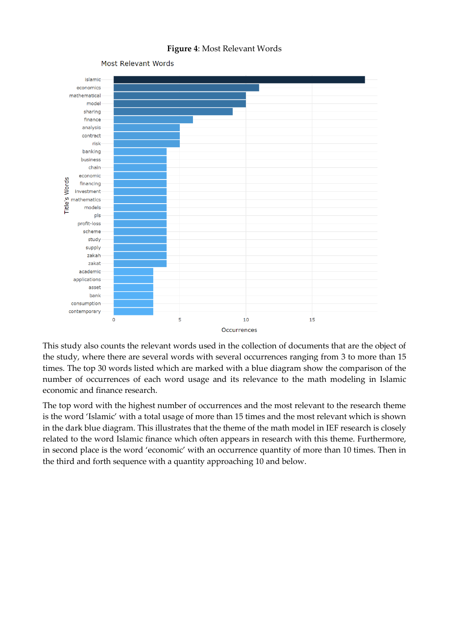#### **Figure 4**: Most Relevant Words



This study also counts the relevant words used in the collection of documents that are the object of the study, where there are several words with several occurrences ranging from 3 to more than 15 times. The top 30 words listed which are marked with a blue diagram show the comparison of the number of occurrences of each word usage and its relevance to the math modeling in Islamic economic and finance research.

The top word with the highest number of occurrences and the most relevant to the research theme is the word 'Islamic' with a total usage of more than 15 times and the most relevant which is shown in the dark blue diagram. This illustrates that the theme of the math model in IEF research is closely related to the word Islamic finance which often appears in research with this theme. Furthermore, in second place is the word 'economic' with an occurrence quantity of more than 10 times. Then in the third and forth sequence with a quantity approaching 10 and below.

Most Relevant Words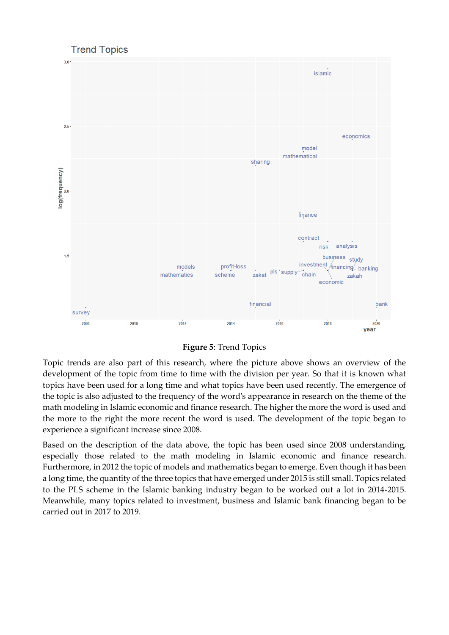

**Figure 5**: Trend Topics

Topic trends are also part of this research, where the picture above shows an overview of the development of the topic from time to time with the division per year. So that it is known what topics have been used for a long time and what topics have been used recently. The emergence of the topic is also adjusted to the frequency of the word's appearance in research on the theme of the math modeling in Islamic economic and finance research. The higher the more the word is used and the more to the right the more recent the word is used. The development of the topic began to experience a significant increase since 2008.

Based on the description of the data above, the topic has been used since 2008 understanding, especially those related to the math modeling in Islamic economic and finance research. Furthermore, in 2012 the topic of models and mathematics began to emerge. Even though it has been a long time, the quantity of the three topics that have emerged under 2015 is still small. Topics related to the PLS scheme in the Islamic banking industry began to be worked out a lot in 2014-2015. Meanwhile, many topics related to investment, business and Islamic bank financing began to be carried out in 2017 to 2019.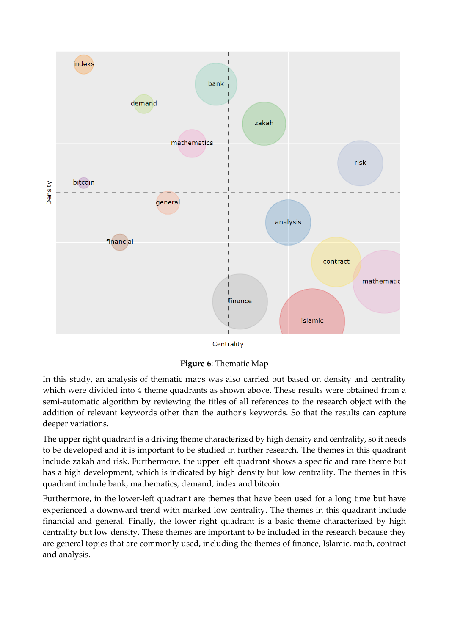

Centrality

**Figure 6**: Thematic Map

In this study, an analysis of thematic maps was also carried out based on density and centrality which were divided into 4 theme quadrants as shown above. These results were obtained from a semi-automatic algorithm by reviewing the titles of all references to the research object with the addition of relevant keywords other than the author's keywords. So that the results can capture deeper variations.

The upper right quadrant is a driving theme characterized by high density and centrality, so it needs to be developed and it is important to be studied in further research. The themes in this quadrant include zakah and risk. Furthermore, the upper left quadrant shows a specific and rare theme but has a high development, which is indicated by high density but low centrality. The themes in this quadrant include bank, mathematics, demand, index and bitcoin.

Furthermore, in the lower-left quadrant are themes that have been used for a long time but have experienced a downward trend with marked low centrality. The themes in this quadrant include financial and general. Finally, the lower right quadrant is a basic theme characterized by high centrality but low density. These themes are important to be included in the research because they are general topics that are commonly used, including the themes of finance, Islamic, math, contract and analysis*.*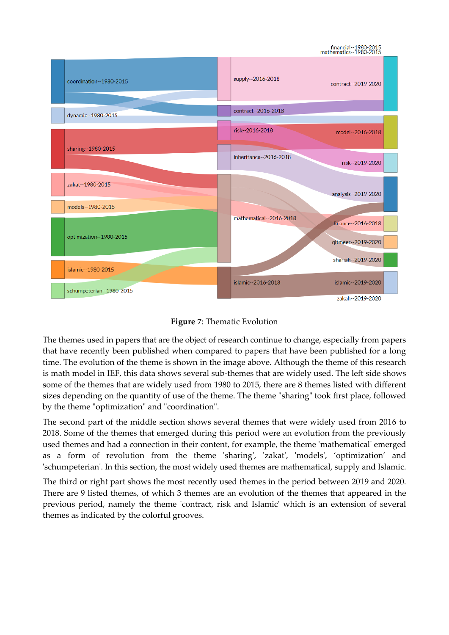## financial--1980-2015<br>1980-2015:rnathematics-



**Figure 7**: Thematic Evolution

The themes used in papers that are the object of research continue to change, especially from papers that have recently been published when compared to papers that have been published for a long time. The evolution of the theme is shown in the image above. Although the theme of this research is math model in IEF, this data shows several sub-themes that are widely used. The left side shows some of the themes that are widely used from 1980 to 2015, there are 8 themes listed with different sizes depending on the quantity of use of the theme. The theme "sharing" took first place, followed by the theme "optimization" and "coordination".

The second part of the middle section shows several themes that were widely used from 2016 to 2018. Some of the themes that emerged during this period were an evolution from the previously used themes and had a connection in their content, for example, the theme 'mathematical' emerged as a form of revolution from the theme 'sharing', 'zakat', 'models', 'optimization' and 'schumpeterian'. In this section, the most widely used themes are mathematical, supply and Islamic.

The third or right part shows the most recently used themes in the period between 2019 and 2020. There are 9 listed themes, of which 3 themes are an evolution of the themes that appeared in the previous period, namely the theme 'contract, risk and Islamic' which is an extension of several themes as indicated by the colorful grooves.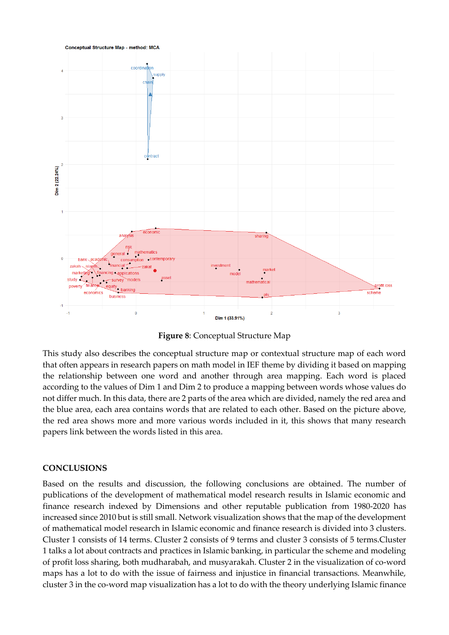

**Figure 8**: Conceptual Structure Map

This study also describes the conceptual structure map or contextual structure map of each word that often appears in research papers on math model in IEF theme by dividing it based on mapping the relationship between one word and another through area mapping. Each word is placed according to the values of Dim 1 and Dim 2 to produce a mapping between words whose values do not differ much. In this data, there are 2 parts of the area which are divided, namely the red area and the blue area, each area contains words that are related to each other. Based on the picture above, the red area shows more and more various words included in it, this shows that many research papers link between the words listed in this area.

#### **CONCLUSIONS**

Based on the results and discussion, the following conclusions are obtained. The number of publications of the development of mathematical model research results in Islamic economic and finance research indexed by Dimensions and other reputable publication from 1980-2020 has increased since 2010 but is still small. Network visualization shows that the map of the development of mathematical model research in Islamic economic and finance research is divided into 3 clusters. Cluster 1 consists of 14 terms. Cluster 2 consists of 9 terms and cluster 3 consists of 5 terms.Cluster 1 talks a lot about contracts and practices in Islamic banking, in particular the scheme and modeling of profit loss sharing, both mudharabah, and musyarakah. Cluster 2 in the visualization of co-word maps has a lot to do with the issue of fairness and injustice in financial transactions. Meanwhile, cluster 3 in the co-word map visualization has a lot to do with the theory underlying Islamic finance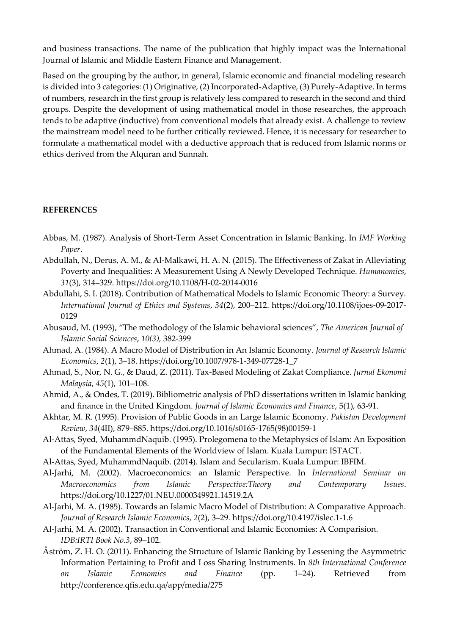and business transactions. The name of the publication that highly impact was the International Journal of Islamic and Middle Eastern Finance and Management.

Based on the grouping by the author, in general, Islamic economic and financial modeling research is divided into 3 categories: (1) Originative, (2) Incorporated-Adaptive, (3) Purely-Adaptive. In terms of numbers, research in the first group is relatively less compared to research in the second and third groups. Despite the development of using mathematical model in those researches, the approach tends to be adaptive (inductive) from conventional models that already exist. A challenge to review the mainstream model need to be further critically reviewed. Hence, it is necessary for researcher to formulate a mathematical model with a deductive approach that is reduced from Islamic norms or ethics derived from the Alquran and Sunnah.

#### **REFERENCES**

- Abbas, M. (1987). Analysis of Short-Term Asset Concentration in Islamic Banking. In *IMF Working Paper*.
- Abdullah, N., Derus, A. M., & Al-Malkawi, H. A. N. (2015). The Effectiveness of Zakat in Alleviating Poverty and Inequalities: A Measurement Using A Newly Developed Technique. *Humanomics*, *31*(3), 314–329. https://doi.org/10.1108/H-02-2014-0016
- Abdullahi, S. I. (2018). Contribution of Mathematical Models to Islamic Economic Theory: a Survey. *International Journal of Ethics and Systems*, *34*(2), 200–212. https://doi.org/10.1108/ijoes-09-2017- 0129
- Abusaud, M. (1993), "The methodology of the Islamic behavioral sciences", *The American Journal of Islamic Social Sciences*, *10(3),* 382-399
- Ahmad, A. (1984). A Macro Model of Distribution in An Islamic Economy. *Journal of Research Islamic Economics*, *2*(1), 3–18. https://doi.org/10.1007/978-1-349-07728-1\_7
- Ahmad, S., Nor, N. G., & Daud, Z. (2011). Tax-Based Modeling of Zakat Compliance. *Jurnal Ekonomi Malaysia*, *45*(1), 101–108.
- Ahmid, A., & Ondes, T. (2019). Bibliometric analysis of PhD dissertations written in Islamic banking and finance in the United Kingdom. *Journal of Islamic Economics and Finance*, 5(1), 63-91.
- Akhtar, M. R. (1995). Provision of Public Goods in an Large Islamic Economy. *Pakistan Development Review*, *34*(4II), 879–885. https://doi.org/10.1016/s0165-1765(98)00159-1
- Al-Attas, Syed, MuhammdNaquib. (1995). Prolegomena to the Metaphysics of Islam: An Exposition of the Fundamental Elements of the Worldview of Islam. Kuala Lumpur: ISTACT.
- Al-Attas, Syed, MuhammdNaquib. (2014). Islam and Secularism. Kuala Lumpur: IBFIM.
- Al-Jarhi, M. (2002). Macroeconomics: an Islamic Perspective. In *International Seminar on Macroeconomics from Islamic Perspective:Theory and Contemporary Issues*. https://doi.org/10.1227/01.NEU.0000349921.14519.2A
- Al-Jarhi, M. A. (1985). Towards an Islamic Macro Model of Distribution: A Comparative Approach. *Journal of Research Islamic Economics*, *2*(2), 3–29. https://doi.org/10.4197/islec.1-1.6
- Al-Jarhi, M. A. (2002). Transaction in Conventional and Islamic Economies: A Comparision. *IDB:IRTI Book No.3*, 89–102.
- Åström, Z. H. O. (2011). Enhancing the Structure of Islamic Banking by Lessening the Asymmetric Information Pertaining to Profit and Loss Sharing Instruments. In *8th International Conference on Islamic Economics and Finance* (pp. 1–24). Retrieved from http://conference.qfis.edu.qa/app/media/275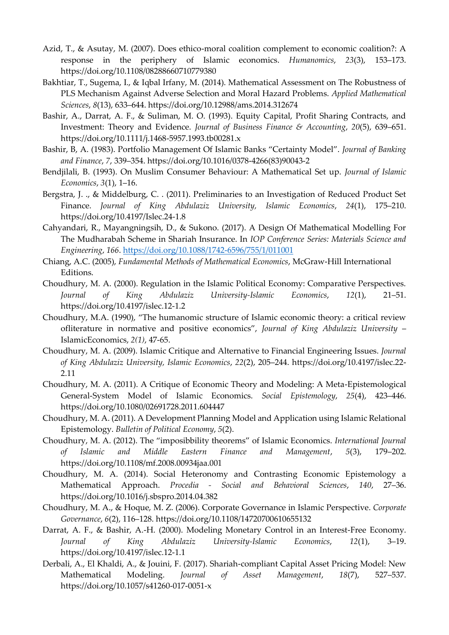- Azid, T., & Asutay, M. (2007). Does ethico-moral coalition complement to economic coalition?: A response in the periphery of Islamic economics. *Humanomics*, *23*(3), 153–173. https://doi.org/10.1108/08288660710779380
- Bakhtiar, T., Sugema, I., & Iqbal Irfany, M. (2014). Mathematical Assessment on The Robustness of PLS Mechanism Against Adverse Selection and Moral Hazard Problems. *Applied Mathematical Sciences*, *8*(13), 633–644. https://doi.org/10.12988/ams.2014.312674
- Bashir, A., Darrat, A. F., & Suliman, M. O. (1993). Equity Capital, Profit Sharing Contracts, and Investment: Theory and Evidence. *Journal of Business Finance & Accounting*, *20*(5), 639–651. https://doi.org/10.1111/j.1468-5957.1993.tb00281.x
- Bashir, B, A. (1983). Portfolio Management Of Islamic Banks "Certainty Model". *Journal of Banking and Finance*, *7*, 339–354. https://doi.org/10.1016/0378-4266(83)90043-2
- Bendjilali, B. (1993). On Muslim Consumer Behaviour: A Mathematical Set up. *Journal of Islamic Economics*, *3*(1), 1–16.
- Bergstra, J. ., & Middelburg, C. . (2011). Preliminaries to an Investigation of Reduced Product Set Finance. *Journal of King Abdulaziz University, Islamic Economics*, *24*(1), 175–210. https://doi.org/10.4197/Islec.24-1.8
- Cahyandari, R., Mayangningsih, D., & Sukono. (2017). A Design Of Mathematical Modelling For The Mudharabah Scheme in Shariah Insurance. In *IOP Conference Series: Materials Science and Engineering*, *166*.<https://doi.org/10.1088/1742-6596/755/1/011001>
- Chiang, A.C. (2005), *Fundamental Methods of Mathematical Economics*, McGraw-Hill International Editions.
- Choudhury, M. A. (2000). Regulation in the Islamic Political Economy: Comparative Perspectives. *Journal of King Abdulaziz University-Islamic Economics*, *12*(1), 21–51. <https://doi.org/10.4197/islec.12-1.2>
- Choudhury, M.A. (1990), "The humanomic structure of Islamic economic theory: a critical review ofliterature in normative and positive economics", *Journal of King Abdulaziz University* – IslamicEconomics, *2(1)*, 47-65.
- Choudhury, M. A. (2009). Islamic Critique and Alternative to Financial Engineering Issues. *Journal of King Abdulaziz University, Islamic Economics*, *22*(2), 205–244. https://doi.org/10.4197/islec.22- 2.11
- Choudhury, M. A. (2011). A Critique of Economic Theory and Modeling: A Meta-Epistemological General-System Model of Islamic Economics. *Social Epistemology*, *25*(4), 423–446. https://doi.org/10.1080/02691728.2011.604447
- Choudhury, M. A. (2011). A Development Planning Model and Application using Islamic Relational Epistemology. *Bulletin of Political Economy*, *5*(2).
- Choudhury, M. A. (2012). The "imposibbility theorems" of Islamic Economics. *International Journal of Islamic and Middle Eastern Finance and Management*, *5*(3), 179–202. https://doi.org/10.1108/mf.2008.00934jaa.001
- Choudhury, M. A. (2014). Social Heteronomy and Contrasting Economic Epistemology a Mathematical Approach. *Procedia - Social and Behavioral Sciences*, *140*, 27–36. https://doi.org/10.1016/j.sbspro.2014.04.382
- Choudhury, M. A., & Hoque, M. Z. (2006). Corporate Governance in Islamic Perspective. *Corporate Governance*, *6*(2), 116–128. https://doi.org/10.1108/14720700610655132
- Darrat, A. F., & Bashir, A.-H. (2000). Modeling Monetary Control in an Interest-Free Economy. *Journal of King Abdulaziz University-Islamic Economics*, *12*(1), 3–19. https://doi.org/10.4197/islec.12-1.1
- Derbali, A., El Khaldi, A., & Jouini, F. (2017). Shariah-compliant Capital Asset Pricing Model: New Mathematical Modeling. *Journal of Asset Management*, *18*(7), 527–537. https://doi.org/10.1057/s41260-017-0051-x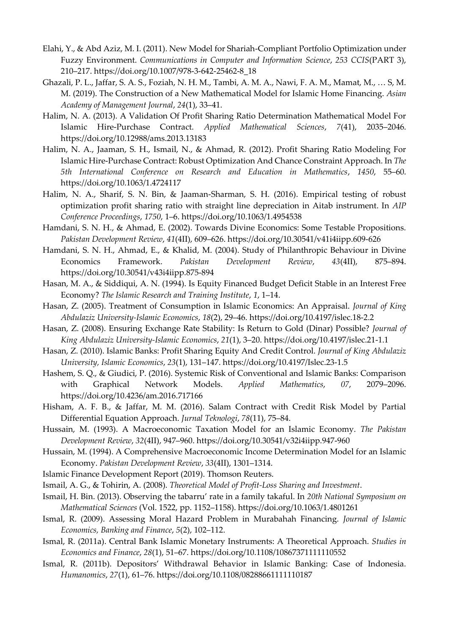- Elahi, Y., & Abd Aziz, M. I. (2011). New Model for Shariah-Compliant Portfolio Optimization under Fuzzy Environment. *Communications in Computer and Information Science*, *253 CCIS*(PART 3), 210–217. https://doi.org/10.1007/978-3-642-25462-8\_18
- Ghazali, P. L., Jaffar, S. A. S., Foziah, N. H. M., Tambi, A. M. A., Nawi, F. A. M., Mamat, M., … S, M. M. (2019). The Construction of a New Mathematical Model for Islamic Home Financing. *Asian Academy of Management Journal*, *24*(1), 33–41.
- Halim, N. A. (2013). A Validation Of Profit Sharing Ratio Determination Mathematical Model For Islamic Hire-Purchase Contract. *Applied Mathematical Sciences*, *7*(41), 2035–2046. https://doi.org/10.12988/ams.2013.13183
- Halim, N. A., Jaaman, S. H., Ismail, N., & Ahmad, R. (2012). Profit Sharing Ratio Modeling For Islamic Hire-Purchase Contract: Robust Optimization And Chance Constraint Approach. In *The 5th International Conference on Research and Education in Mathematics*, *1450*, 55–60. https://doi.org/10.1063/1.4724117
- Halim, N. A., Sharif, S. N. Bin, & Jaaman-Sharman, S. H. (2016). Empirical testing of robust optimization profit sharing ratio with straight line depreciation in Aitab instrument. In *AIP Conference Proceedings*, *1750*, 1–6. https://doi.org/10.1063/1.4954538
- Hamdani, S. N. H., & Ahmad, E. (2002). Towards Divine Economics: Some Testable Propositions. *Pakistan Development Review*, *41*(4II), 609–626. https://doi.org/10.30541/v41i4iipp.609-626
- Hamdani, S. N. H., Ahmad, E., & Khalid, M. (2004). Study of Philanthropic Behaviour in Divine Economics Framework. *Pakistan Development Review*, *43*(4II), 875–894. https://doi.org/10.30541/v43i4iipp.875-894
- Hasan, M. A., & Siddiqui, A. N. (1994). Is Equity Financed Budget Deficit Stable in an Interest Free Economy? *The Islamic Research and Training Institute*, *1*, 1–14.
- Hasan, Z. (2005). Treatment of Consumption in Islamic Economics: An Appraisal. *Journal of King Abdulaziz University-Islamic Economics*, *18*(2), 29–46. https://doi.org/10.4197/islec.18-2.2
- Hasan, Z. (2008). Ensuring Exchange Rate Stability: Is Return to Gold (Dinar) Possible? *Journal of King Abdulaziz University-Islamic Economics*, *21*(1), 3–20. https://doi.org/10.4197/islec.21-1.1
- Hasan, Z. (2010). Islamic Banks: Profit Sharing Equity And Credit Control. *Journal of King Abdulaziz University, Islamic Economics*, *23*(1), 131–147. https://doi.org/10.4197/Islec.23-1.5
- Hashem, S. Q., & Giudici, P. (2016). Systemic Risk of Conventional and Islamic Banks: Comparison with Graphical Network Models. *Applied Mathematics*, *07*, 2079–2096. https://doi.org/10.4236/am.2016.717166
- Hisham, A. F. B., & Jaffar, M. M. (2016). Salam Contract with Credit Risk Model by Partial Differential Equation Approach. *Jurnal Teknologi*, *78*(11), 75–84.
- Hussain, M. (1993). A Macroeconomic Taxation Model for an Islamic Economy. *The Pakistan Development Review*, *32*(4II), 947–960. https://doi.org/10.30541/v32i4iipp.947-960
- Hussain, M. (1994). A Comprehensive Macroeconomic Income Determination Model for an Islamic Economy. *Pakistan Development Review*, *33*(4II), 1301–1314.
- Islamic Finance Development Report (2019). Thomson Reuters.
- Ismail, A. G., & Tohirin, A. (2008). *Theoretical Model of Profit-Loss Sharing and Investment*.
- Ismail, H. Bin. (2013). Observing the tabarru' rate in a family takaful. In *20th National Symposium on Mathematical Sciences* (Vol. 1522, pp. 1152–1158). https://doi.org/10.1063/1.4801261
- Ismal, R. (2009). Assessing Moral Hazard Problem in Murabahah Financing. *Journal of Islamic Economics, Banking and Finance*, *5*(2), 102–112.
- Ismal, R. (2011a). Central Bank Islamic Monetary Instruments: A Theoretical Approach. *Studies in Economics and Finance*, *28*(1), 51–67. https://doi.org/10.1108/10867371111110552
- Ismal, R. (2011b). Depositors' Withdrawal Behavior in Islamic Banking: Case of Indonesia. *Humanomics*, *27*(1), 61–76. https://doi.org/10.1108/08288661111110187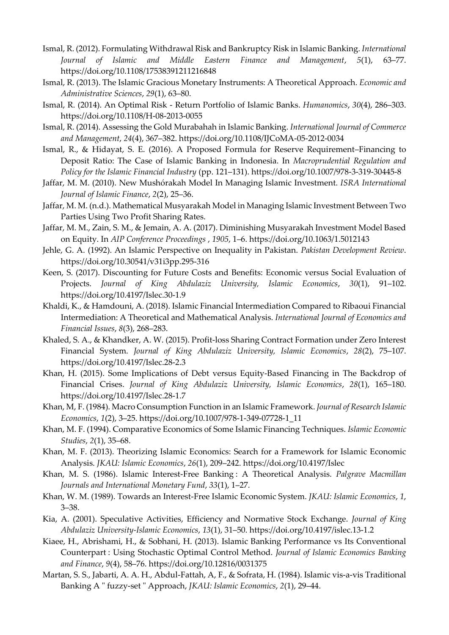- Ismal, R. (2012). Formulating Withdrawal Risk and Bankruptcy Risk in Islamic Banking. *International Journal of Islamic and Middle Eastern Finance and Management*, *5*(1), 63–77. https://doi.org/10.1108/17538391211216848
- Ismal, R. (2013). The Islamic Gracious Monetary Instruments: A Theoretical Approach. *Economic and Administrative Sciences*, *29*(1), 63–80.
- Ismal, R. (2014). An Optimal Risk Return Portfolio of Islamic Banks. *Humanomics*, *30*(4), 286–303. https://doi.org/10.1108/H-08-2013-0055
- Ismal, R. (2014). Assessing the Gold Murabahah in Islamic Banking. *International Journal of Commerce and Management*, *24*(4), 367–382. https://doi.org/10.1108/IJCoMA-05-2012-0034
- Ismal, R., & Hidayat, S. E. (2016). A Proposed Formula for Reserve Requirement–Financing to Deposit Ratio: The Case of Islamic Banking in Indonesia. In *Macroprudential Regulation and Policy for the Islamic Financial Industry* (pp. 121–131). https://doi.org/10.1007/978-3-319-30445-8
- Jaffar, M. M. (2010). New Mushórakah Model In Managing Islamic Investment. *ISRA International Journal of Islamic Finance*, *2*(2), 25–36.
- Jaffar, M. M. (n.d.). Mathematical Musyarakah Model in Managing Islamic Investment Between Two Parties Using Two Profit Sharing Rates.
- Jaffar, M. M., Zain, S. M., & Jemain, A. A. (2017). Diminishing Musyarakah Investment Model Based on Equity. In *AIP Conference Proceedings* , *1905*, 1–6. https://doi.org/10.1063/1.5012143
- Jehle, G. A. (1992). An Islamic Perspective on Inequality in Pakistan. *Pakistan Development Review*. https://doi.org/10.30541/v31i3pp.295-316
- Keen, S. (2017). Discounting for Future Costs and Benefits: Economic versus Social Evaluation of Projects. *Journal of King Abdulaziz University, Islamic Economics*, *30*(1), 91–102. https://doi.org/10.4197/Islec.30-1.9
- Khaldi, K., & Hamdouni, A. (2018). Islamic Financial Intermediation Compared to Ribaoui Financial Intermediation: A Theoretical and Mathematical Analysis. *International Journal of Economics and Financial Issues*, *8*(3), 268–283.
- Khaled, S. A., & Khandker, A. W. (2015). Profit-loss Sharing Contract Formation under Zero Interest Financial System. *Journal of King Abdulaziz University, Islamic Economics*, *28*(2), 75–107. https://doi.org/10.4197/Islec.28-2.3
- Khan, H. (2015). Some Implications of Debt versus Equity-Based Financing in The Backdrop of Financial Crises. *Journal of King Abdulaziz University, Islamic Economics*, *28*(1), 165–180. https://doi.org/10.4197/Islec.28-1.7
- Khan, M, F. (1984). Macro Consumption Function in an Islamic Framework. *Journal of Research Islamic Economics*, *1*(2), 3–25. https://doi.org/10.1007/978-1-349-07728-1\_11
- Khan, M. F. (1994). Comparative Economics of Some Islamic Financing Techniques. *Islamic Economic Studies*, *2*(1), 35–68.
- Khan, M. F. (2013). Theorizing Islamic Economics: Search for a Framework for Islamic Economic Analysis. *JKAU: Islamic Economics*, *26*(1), 209–242. https://doi.org/10.4197/Islec
- Khan, M. S. (1986). Islamic Interest-Free Banking : A Theoretical Analysis. *Palgrave Macmillan Journals and International Monetary Fund*, *33*(1), 1–27.
- Khan, W. M. (1989). Towards an Interest-Free Islamic Economic System. *JKAU: Islamic Economics*, *1*, 3–38.
- Kia, A. (2001). Speculative Activities, Efficiency and Normative Stock Exchange. *Journal of King Abdulaziz University-Islamic Economics*, *13*(1), 31–50. https://doi.org/10.4197/islec.13-1.2
- Kiaee, H., Abrishami, H., & Sobhani, H. (2013). Islamic Banking Performance vs Its Conventional Counterpart : Using Stochastic Optimal Control Method. *Journal of Islamic Economics Banking and Finance*, *9*(4), 58–76. https://doi.org/10.12816/0031375
- Martan, S. S., Jabarti, A. A. H., Abdul-Fattah, A, F., & Sofrata, H. (1984). Islamic vis-a-vis Traditional Banking A " fuzzy-set " Approach, *JKAU: Islamic Economics*, *2*(1), 29–44.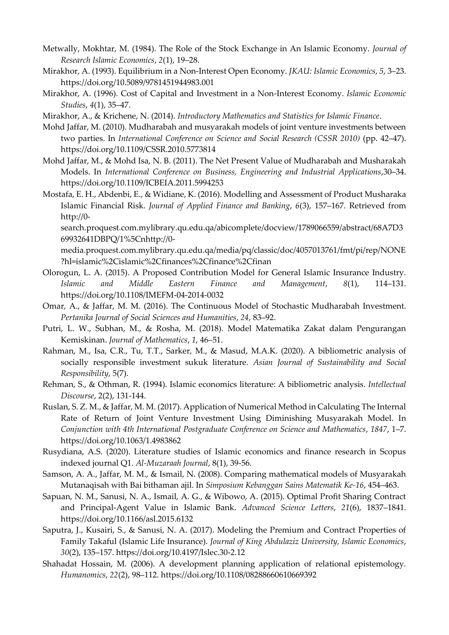- Metwally, Mokhtar, M. (1984). The Role of the Stock Exchange in An Islamic Economy. *Journal of Research Islamic Economics*, *2*(1), 19–28.
- Mirakhor, A. (1993). Equilibrium in a Non-Interest Open Economy. *JKAU: Islamic Economics*, *5*, 3–23. https://doi.org/10.5089/9781451944983.001
- Mirakhor, A. (1996). Cost of Capital and Investment in a Non-Interest Economy. *Islamic Economic Studies*, *4*(1), 35–47.
- Mirakhor, A., & Krichene, N. (2014). *Introductory Mathematics and Statistics for Islamic Finance*.
- Mohd Jaffar, M. (2010). Mudharabah and musyarakah models of joint venture investments between two parties. In *International Conference on Science and Social Research (CSSR 2010)* (pp. 42–47). https://doi.org/10.1109/CSSR.2010.5773814
- Mohd Jaffar, M., & Mohd Isa, N. B. (2011). The Net Present Value of Mudharabah and Musharakah Models. In *International Conference on Business, Engineering and Industrial Applications*,30–34. https://doi.org/10.1109/ICBEIA.2011.5994253
- Mostafa, E. H., Abdenbi, E., & Widiane, K. (2016). Modelling and Assessment of Product Musharaka Islamic Financial Risk. *Journal of Applied Finance and Banking*, *6*(3), 157–167. Retrieved from http://0-

search.proquest.com.mylibrary.qu.edu.qa/abicomplete/docview/1789066559/abstract/68A7D3 69932641DBPQ/1%5Cnhttp://0-

media.proquest.com.mylibrary.qu.edu.qa/media/pq/classic/doc/4057013761/fmt/pi/rep/NONE ?hl=islamic%2Cislamic%2Cfinances%2Cfinance%2Cfinan

- Olorogun, L. A. (2015). A Proposed Contribution Model for General Islamic Insurance Industry. *Islamic and Middle Eastern Finance and Management*, *8*(1), 114–131. https://doi.org/10.1108/IMEFM-04-2014-0032
- Omar, A., & Jaffar, M. M. (2016). The Continuous Model of Stochastic Mudharabah Investment. *Pertanika Journal of Social Sciences and Humanities*, *24*, 83–92.
- Putri, L. W., Subhan, M., & Rosha, M. (2018). Model Matematika Zakat dalam Pengurangan Kemiskinan. *Journal of Mathematics*, *1*, 46–51.
- Rahman, M., Isa, C.R., Tu, T.T., Sarker, M., & Masud, M.A.K. (2020). A bibliometric analysis of socially responsible investment sukuk literature. *Asian Journal of Sustainability and Social Responsibility*, 5(7).
- Rehman, S., & Othman, R. (1994). Islamic economics literature: A bibliometric analysis. *Intellectual Discourse*, 2(2), 131-144.
- Ruslan, S. Z. M., & Jaffar, M. M. (2017). Application of Numerical Method in Calculating The Internal Rate of Return of Joint Venture Investment Using Diminishing Musyarakah Model. In *Conjunction with 4th International Postgraduate Conference on Science and Mathematics*, *1847*, 1–7. https://doi.org/10.1063/1.4983862
- Rusydiana, A.S. (2020). Literature studies of Islamic economics and finance research in Scopus indexed journal Q1. *Al-Muzaraah Journal*, 8(1), 39-56.
- Samson, A. A., Jaffar, M. M., & Ismail, N. (2008). Comparing mathematical models of Musyarakah Mutanaqisah with Bai bithaman ajil. In *Simposium Kebanggan Sains Matematik Ke-16*, 454–463.
- Sapuan, N. M., Sanusi, N. A., Ismail, A. G., & Wibowo, A. (2015). Optimal Profit Sharing Contract and Principal-Agent Value in Islamic Bank. *Advanced Science Letters*, *21*(6), 1837–1841. https://doi.org/10.1166/asl.2015.6132
- Saputra, J., Kusairi, S., & Sanusi, N. A. (2017). Modeling the Premium and Contract Properties of Family Takaful (Islamic Life Insurance). *Journal of King Abdulaziz University, Islamic Economics*, *30*(2), 135–157. https://doi.org/10.4197/Islec.30-2.12
- Shahadat Hossain, M. (2006). A development planning application of relational epistemology. *Humanomics*, *22*(2), 98–112. https://doi.org/10.1108/08288660610669392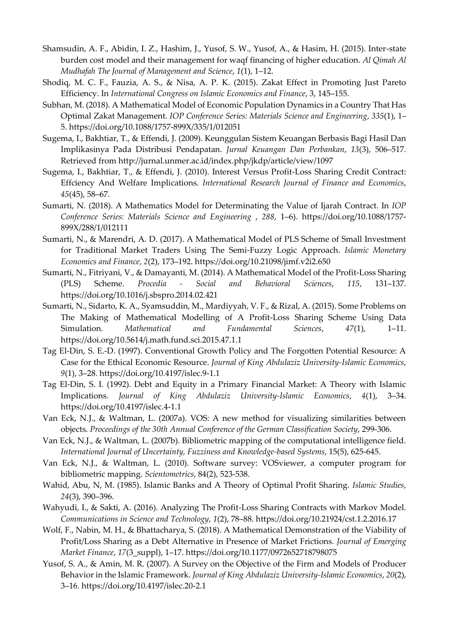- Shamsudin, A. F., Abidin, I. Z., Hashim, J., Yusof, S. W., Yusof, A., & Hasim, H. (2015). Inter-state burden cost model and their management for waqf financing of higher education. *Al Qimah Al Mudhafah The Journal of Management and Science*, *1*(1), 1–12.
- Shodiq, M. C. F., Fauzia, A. S., & Nisa, A. P. K. (2015). Zakat Effect in Promoting Just Pareto Efficiency. In *International Congress on Islamic Economics and Finance*, 3, 145–155.
- Subhan, M. (2018). A Mathematical Model of Economic Population Dynamics in a Country That Has Optimal Zakat Management. *IOP Conference Series: Materials Science and Engineering*, *335*(1), 1– 5. https://doi.org/10.1088/1757-899X/335/1/012051
- Sugema, I., Bakhtiar, T., & Effendi, J. (2009). Keunggulan Sistem Keuangan Berbasis Bagi Hasil Dan Implikasinya Pada Distribusi Pendapatan. *Jurnal Keuangan Dan Perbankan*, *13*(3), 506–517. Retrieved from http://jurnal.unmer.ac.id/index.php/jkdp/article/view/1097
- Sugema, I., Bakhtiar, T., & Effendi, J. (2010). Interest Versus Profit-Loss Sharing Credit Contract: Effciency And Welfare Implications. *International Research Journal of Finance and Economics*, *45*(45), 58–67.
- Sumarti, N. (2018). A Mathematics Model for Determinating the Value of Ijarah Contract. In *IOP Conference Series: Materials Science and Engineering* , *288*, 1–6). https://doi.org/10.1088/1757- 899X/288/1/012111
- Sumarti, N., & Marendri, A. D. (2017). A Mathematical Model of PLS Scheme of Small Investment for Traditional Market Traders Using The Semi-Fuzzy Logic Approach. *Islamic Monetary Economics and Finance*, *2*(2), 173–192. https://doi.org/10.21098/jimf.v2i2.650
- Sumarti, N., Fitriyani, V., & Damayanti, M. (2014). A Mathematical Model of the Profit-Loss Sharing (PLS) Scheme. *Procedia - Social and Behavioral Sciences*, *115*, 131–137. https://doi.org/10.1016/j.sbspro.2014.02.421
- Sumarti, N., Sidarto, K. A., Syamsuddin, M., Mardiyyah, V. F., & Rizal, A. (2015). Some Problems on The Making of Mathematical Modelling of A Profit-Loss Sharing Scheme Using Data Simulation. *Mathematical and Fundamental Sciences*, *47*(1), 1–11. https://doi.org/10.5614/j.math.fund.sci.2015.47.1.1
- Tag El-Din, S. E.-D. (1997). Conventional Growth Policy and The Forgotten Potential Resource: A Case for the Ethical Economic Resource. *Journal of King Abdulaziz University-Islamic Economics*, *9*(1), 3–28. https://doi.org/10.4197/islec.9-1.1
- Tag El-Din, S. I. (1992). Debt and Equity in a Primary Financial Market: A Theory with Islamic Implications. *Journal of King Abdulaziz University-Islamic Economics*, *4*(1), 3–34. https://doi.org/10.4197/islec.4-1.1
- Van Eck, N.J., & Waltman, L. (2007a). VOS: A new method for visualizing similarities between objects. *Proceedings of the 30th Annual Conference of the German Classification Society*, 299-306.
- Van Eck, N.J., & Waltman, L. (2007b). Bibliometric mapping of the computational intelligence field. *International Journal of Uncertainty, Fuzziness and Knowledge-based Systems*, 15(5), 625-645.
- Van Eck, N.J., & Waltman, L. (2010). Software survey: VOSviewer, a computer program for bibliometric mapping. *Scientometrics*, 84(2), 523-538.
- Wahid, Abu, N, M. (1985). Islamic Banks and A Theory of Optimal Profit Sharing. *Islamic Studies*, *24*(3), 390–396.
- Wahyudi, I., & Sakti, A. (2016). Analyzing The Profit-Loss Sharing Contracts with Markov Model. *Communications in Science and Technology*, *1*(2), 78–88. https://doi.org/10.21924/cst.1.2.2016.17
- Wolf, F., Nabin, M. H., & Bhattacharya, S. (2018). A Mathematical Demonstration of the Viability of Profit/Loss Sharing as a Debt Alternative in Presence of Market Frictions. *Journal of Emerging Market Finance*, *17*(3\_suppl), 1–17. https://doi.org/10.1177/0972652718798075
- Yusof, S. A., & Amin, M. R. (2007). A Survey on the Objective of the Firm and Models of Producer Behavior in the Islamic Framework. *Journal of King Abdulaziz University-Islamic Economics*, *20*(2), 3–16. https://doi.org/10.4197/islec.20-2.1